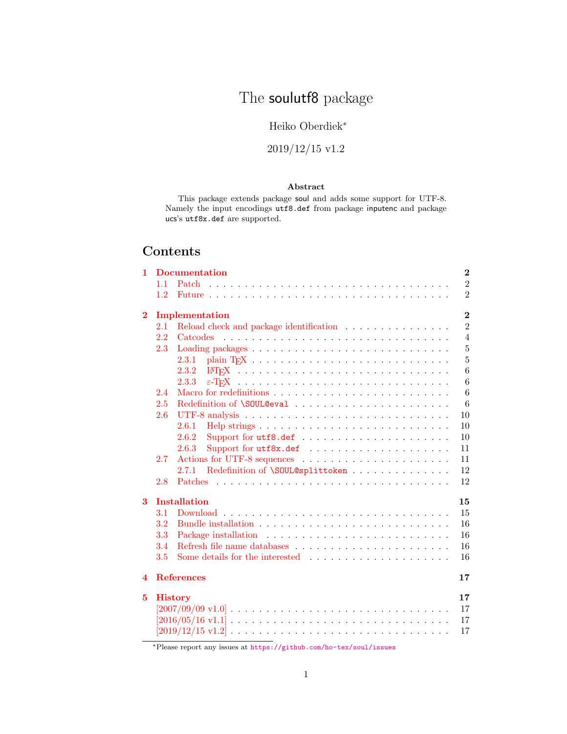# The soulutf8 package

# Heiko Oberdiek<sup>∗</sup>

# 2019/12/15 v1.2

### Abstract

This package extends package soul and adds some support for UTF-8. Namely the input encodings utf8.def from package inputenc and package ucs's utf8x.def are supported.

# Contents

| 1        |     | <b>Documentation</b>                                                                                                  | $\bf{2}$       |
|----------|-----|-----------------------------------------------------------------------------------------------------------------------|----------------|
|          | 1.1 | Patch                                                                                                                 | $\overline{2}$ |
|          | 1.2 |                                                                                                                       | $\overline{2}$ |
| $\bf{2}$ |     | Implementation                                                                                                        | $\bf{2}$       |
|          | 2.1 | Reload check and package identification                                                                               | $\overline{2}$ |
|          | 2.2 | Catcodes                                                                                                              | $\overline{4}$ |
|          | 2.3 |                                                                                                                       | $\overline{5}$ |
|          |     | 2.3.1                                                                                                                 | $\overline{5}$ |
|          |     | 2.3.2                                                                                                                 | 6              |
|          |     | 2.3.3                                                                                                                 | 6              |
|          | 2.4 |                                                                                                                       | 6              |
|          | 2.5 |                                                                                                                       | 6              |
|          | 2.6 |                                                                                                                       | 10             |
|          |     | 2.6.1                                                                                                                 | 10             |
|          |     | 2.6.2                                                                                                                 | 10             |
|          |     | 2.6.3                                                                                                                 | 11             |
|          | 2.7 | Actions for UTF-8 sequences                                                                                           | 11             |
|          |     | Redefinition of \SOUL@splittoken<br>2.7.1                                                                             | 12             |
|          | 2.8 |                                                                                                                       | 12             |
| 3        |     | <b>Installation</b>                                                                                                   | 15             |
|          | 3.1 |                                                                                                                       | 15             |
|          | 3.2 |                                                                                                                       | 16             |
|          | 3.3 |                                                                                                                       | 16             |
|          | 3.4 |                                                                                                                       | 16             |
|          | 3.5 |                                                                                                                       | 16             |
| 4        |     | <b>References</b>                                                                                                     | 17             |
| 5        |     | <b>History</b>                                                                                                        | 17             |
|          |     | $[2007/09/09 \text{ v}1.0] \ldots \ldots \ldots \ldots \ldots \ldots \ldots \ldots \ldots \ldots \ldots$              | 17             |
|          |     | [ $2016/05/16 \mathrm{~v}1.1$ ] $\ldots \ldots \ldots \ldots \ldots \ldots \ldots \ldots \ldots \ldots \ldots \ldots$ | 17             |
|          |     |                                                                                                                       | 17             |
|          |     |                                                                                                                       |                |

<sup>∗</sup>Please report any issues at <https://github.com/ho-tex/soul/issues>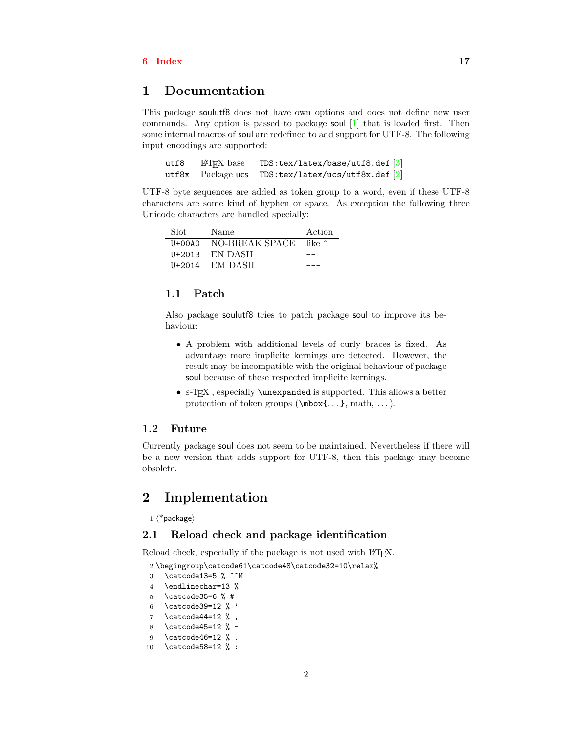### [6 Index](#page-16-5)  $17$

# <span id="page-1-0"></span>1 Documentation

This package soulutf8 does not have own options and does not define new user commands. Any option is passed to package soul [\[1\]](#page-16-6) that is loaded first. Then some internal macros of soul are redefined to add support for UTF-8. The following input encodings are supported:

utf8 LATEX base TDS:tex/latex/base/utf8.def [\[3\]](#page-16-7)<br>utf8x Package ucs TDS:tex/latex/ucs/utf8x.def [2] utf8x Package ucs TDS:tex/latex/ucs/utf8x.def [\[2\]](#page-16-8)

UTF-8 byte sequences are added as token group to a word, even if these UTF-8 characters are some kind of hyphen or space. As exception the following three Unicode characters are handled specially:

| Slot | Name                  | Action |
|------|-----------------------|--------|
|      | U+00A0 NO-BREAK SPACE | like ~ |
|      | $U+2013$ EN DASH      |        |
|      | $U+2014$ EM DASH      |        |

### <span id="page-1-1"></span>1.1 Patch

Also package soulutf8 tries to patch package soul to improve its behaviour:

- A problem with additional levels of curly braces is fixed. As advantage more implicite kernings are detected. However, the result may be incompatible with the original behaviour of package soul because of these respected implicite kernings.
- $\varepsilon$ -T<sub>E</sub>X, especially **\unexpanded** is supported. This allows a better protection of token groups (\mbox{. . . }, math, . . . ).

### <span id="page-1-2"></span>1.2 Future

Currently package soul does not seem to be maintained. Nevertheless if there will be a new version that adds support for UTF-8, then this package may become obsolete.

# <span id="page-1-3"></span>2 Implementation

 $1 \langle *packet$ ackage $\rangle$ 

### <span id="page-1-4"></span>2.1 Reload check and package identification

Reload check, especially if the package is not used with LAT<sub>EX</sub>.

<span id="page-1-5"></span>2 \begingroup\catcode61\catcode48\catcode32=10\relax%

- <span id="page-1-6"></span>3 \catcode13=5 % ^^M
- <span id="page-1-13"></span>4 \endlinechar=13 %
- <span id="page-1-7"></span>5 \catcode35=6 % #
- <span id="page-1-8"></span>6 \catcode39=12 % '
- <span id="page-1-9"></span>7 \catcode44=12  $\%$ ,
- <span id="page-1-10"></span>8 \catcode45=12 % -
- <span id="page-1-11"></span>9 \catcode46=12 % .
- <span id="page-1-12"></span>10 \catcode58=12 % :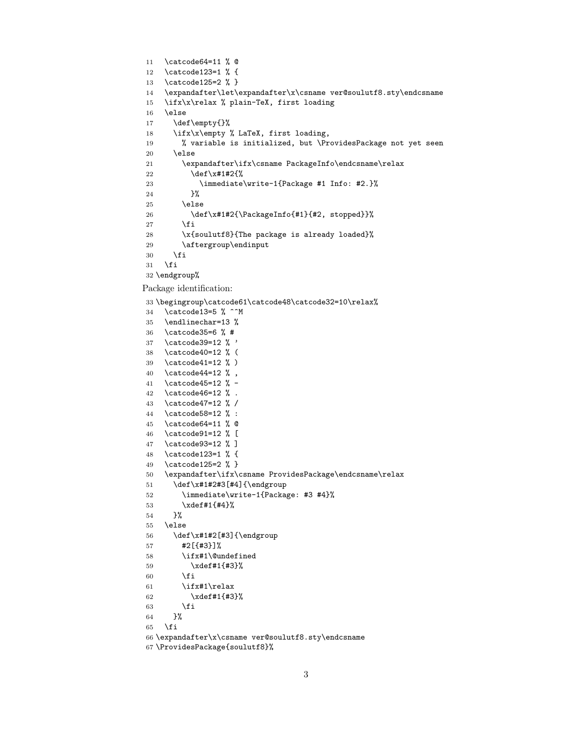```
11 \catcode64=11 % @
12 \catcode123=1 % {
13 \catcode125=2 % }
14 \expandafter\let\expandafter\x\csname ver@soulutf8.sty\endcsname
15 \ifx\x\relax % plain-TeX, first loading
16 \else
17 \def\empty{}%
18 \ifx\x\empty % LaTeX, first loading,
19 % variable is initialized, but \ProvidesPackage not yet seen
20 \else
21 \expandafter\ifx\csname PackageInfo\endcsname\relax
22 \det\left\{x\#1\#2\{\% \right\}23 \immediate\write-1{Package #1 Info: #2.}%
24 }%
25 \else
26 \def\x#1#2{\PackageInfo{#1}{#2, stopped}}%
27 \setminusfi
28 \x{soulutf8}{The package is already loaded}%
29 \aftergroup\endinput
30 \overline{\text{1}}31 \quad \text{if}32 \endgroup%
Package identification:
33 \begingroup\catcode61\catcode48\catcode32=10\relax%
```

```
34 \catcode13=5 % ^^M
35 \endlinechar=13 %
36 \catcode35=6 % #
37 \catcode39=12 % '
38 \catcode40=12 % (
39 \catcode41=12 % )
40 \catcode44=12 % ,
41 \catcode45=12 % -
42 \catcode46=12 % .
43 \catcode47=12 % /
44 \catcode58=12 % :
45 \catcode64=11 % @
46 \catcode91=12 % [
47 \catcode93=12 % ]
48 \catcode123=1 % {
49 \catcode125=2 % }
50 \expandafter\ifx\csname ProvidesPackage\endcsname\relax
51 \def\x#1#2#3[#4]{\endgroup
52 \immediate\write-1{Package: #3 #4}%
53 \xdef#1{#4}%
54 }%
55 \else
56 \def\x#1#2[#3]{\endgroup
57 #2[{#3}]%
58 \ifx#1\@undefined
59 \xdef#1{#3}%
60 \qquad \forall \text{fi}61 \ifx#1\relax
62 \xdef#1{#3}%
63 \overline{\phantom{a}} \fi
64 }%
65 \overline{f}66 \expandafter\x\csname ver@soulutf8.sty\endcsname
67 \ProvidesPackage{soulutf8}%
```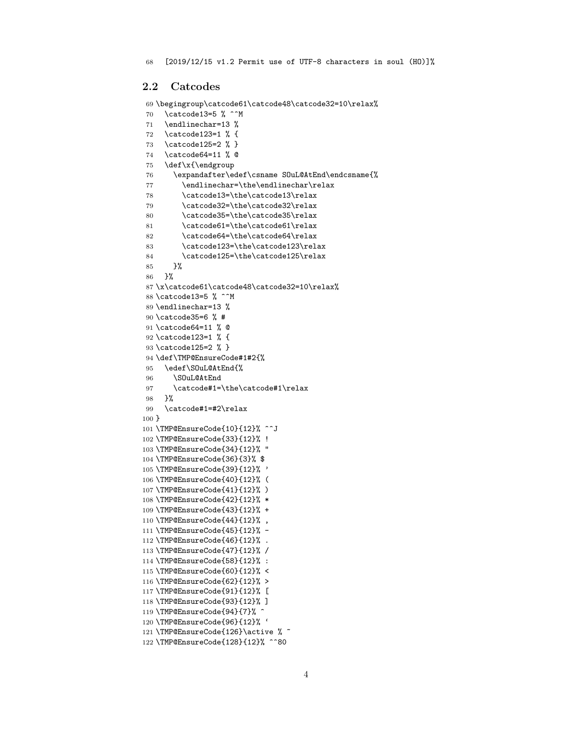### <span id="page-3-0"></span>2.2 Catcodes

```
69 \begingroup\catcode61\catcode48\catcode32=10\relax%
```

```
70 \catcode13=5 % ^^M
71 \endlinechar=13 %
72 \catcode123=1 % {
73 \catcode125=2 % }
74 \catcode64=11 % @
75 \def\x{\endgroup
76 \expandafter\edef\csname SOuL@AtEnd\endcsname{%
77 \endlinechar=\the\endlinechar\relax
78 \catcode13=\the\catcode13\relax
79 \catcode32=\the\catcode32\relax
80 \catcode35=\the\catcode35\relax
81 \catcode61=\the\catcode61\relax
82 \catcode64=\the\catcode64\relax
83 \catcode123=\the\catcode123\relax
84 \catcode125=\the\catcode125\relax
85 }%
86 }%
87 \x\catcode61\catcode48\catcode32=10\relax%
88 \catcode13=5 % ^^M
89 \endlinechar=13 %
90 \catcode35=6 % #
91 \catcode64=11 % @
92 \catcode123=1 % {
93 \catcode125=2 % }
94 \def\TMP@EnsureCode#1#2{%
95 \edef\SOuL@AtEnd{%
96 \SOuL@AtEnd
97 \catcode#1=\the\catcode#1\relax
98 }%
99 \catcode#1=#2\relax
100 }
101 \TMP@EnsureCode{10}{12}% ^^J
102 \TMP@EnsureCode{33}{12}% !
103 \TMP@EnsureCode{34}{12}% "
104 \TMP@EnsureCode{36}{3}% $
105 \TMP@EnsureCode{39}{12}% '
106 \TMP@EnsureCode{40}{12}% (
107 \TMP@EnsureCode{41}{12}% )
108 \TMP@EnsureCode{42}{12}% *
109 \TMP@EnsureCode{43}{12}% +
110 \TMP@EnsureCode{44}{12}% ,
111 \TMP@EnsureCode{45}{12}% -
112 \TMP@EnsureCode{46}{12}% .
113 \TMP@EnsureCode{47}{12}% /
114 \TMP@EnsureCode{58}{12}% :
115 \TMP@EnsureCode{60}{12}% <
116 \TMP@EnsureCode{62}{12}% >
117 \TMP@EnsureCode{91}{12}% [
118 \TMP@EnsureCode{93}{12}% ]
119 \TMP@EnsureCode{94}{7}% ^
120 \TMP@EnsureCode{96}{12}% '
121 \TMP@EnsureCode{126}\active % ~
122 \TMP@EnsureCode{128}{12}% ^^80
```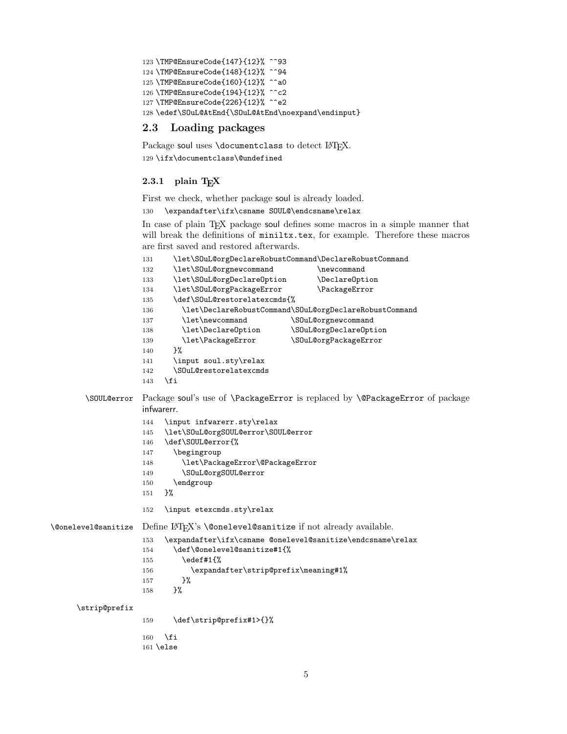```
123 \TMP@EnsureCode{147}{12}% ^^93
124 \TMP@EnsureCode{148}{12}% ^^94
125 \TMP@EnsureCode{160}{12}% ^^a0
126 \TMP@EnsureCode{194}{12}% ^^c2
127 \TMP@EnsureCode{226}{12}% ^^e2
128 \edef\SOuL@AtEnd{\SOuL@AtEnd\noexpand\endinput}
```
### <span id="page-4-30"></span><span id="page-4-11"></span><span id="page-4-0"></span>2.3 Loading packages

<span id="page-4-4"></span>Package soul uses \documentclass to detect LATEX. 129 \ifx\documentclass\@undefined

### <span id="page-4-1"></span> $2.3.1$  plain T<sub>F</sub>X

First we check, whether package soul is already loaded.

<span id="page-4-5"></span>130 \expandafter\ifx\csname SOUL@\endcsname\relax

<span id="page-4-23"></span><span id="page-4-19"></span><span id="page-4-18"></span><span id="page-4-17"></span><span id="page-4-16"></span><span id="page-4-12"></span><span id="page-4-10"></span><span id="page-4-9"></span><span id="page-4-8"></span><span id="page-4-7"></span>In case of plain TEX package soul defines some macros in a simple manner that will break the definitions of miniltx.tex, for example. Therefore these macros are first saved and restored afterwards.

```
131 \let\SOuL@orgDeclareRobustCommand\DeclareRobustCommand
                   132 \let\SOuL@orgnewcommand \newcommand
                   133 \let\SOuL@orgDeclareOption \DeclareOption
                   134 \let\SOuL@orgPackageError \PackageError
                   135 \def\SOuL@restorelatexcmds{%
                   136 \let\DeclareRobustCommand\SOuL@orgDeclareRobustCommand
                   137 \let\newcommand \SOuL@orgnewcommand
                   138 \let\DeclareOption \SOuL@orgDeclareOption
                   139 \let\PackageError \SOuL@orgPackageError
                   140 }%
                   141 \input soul.sty\relax
                   142 \SOuL@restorelatexcmds
                   143 \fi
       \SOUL@error Package soul's use of \PackageError is replaced by \@PackageError of package
                   infwarerr.
                   144 \input infwarerr.sty\relax
                   145 \let\SOuL@orgSOUL@error\SOUL@error
                   146 \def\SOUL@error{%
                   147 \begingroup
                   148 \let\PackageError\@PackageError
                   149 \SOuL@orgSOUL@error
                   150 \endgroup
                   151 }%
                   152 \input etexcmds.sty\relax
\@onelevel@sanitize Define LATEX's \@onelevel@sanitize if not already available.
                   153 \expandafter\ifx\csname @onelevel@sanitize\endcsname\relax
                   154 \def\@onelevel@sanitize#1{%
                   155 \edef#1{%
                   156 \expandafter\strip@prefix\meaning#1%<br>157 }%
                   157
                   158 }%
     \strip@prefix
                   159 \def\strip@prefix#1>{}%
                   160 \fi
                   161 \else
```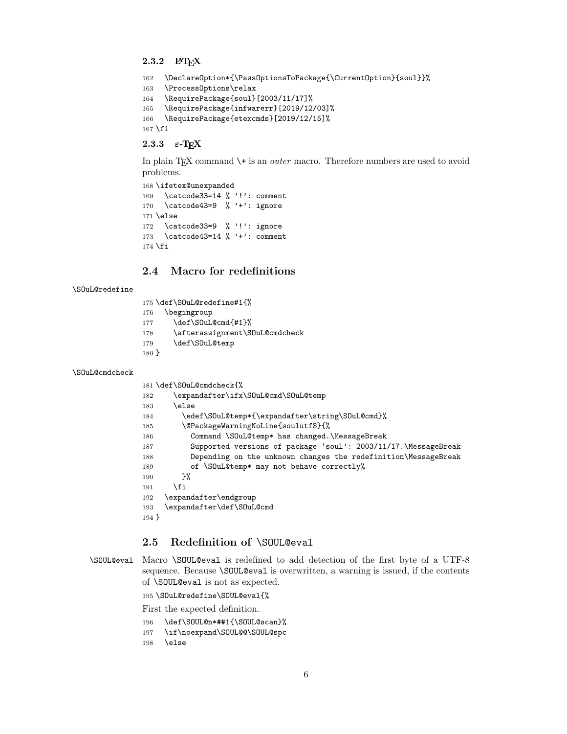### <span id="page-5-0"></span>2.3.2 LAT<sub>E</sub>X

```
162 \DeclareOption*{\PassOptionsToPackage{\CurrentOption}{soul}}%
163 \ProcessOptions\relax
164 \RequirePackage{soul}[2003/11/17]%
165 \RequirePackage{infwarerr}[2019/12/03]%
166 \RequirePackage{etexcmds}[2019/12/15]%
167 \fi
```
### <span id="page-5-20"></span><span id="page-5-1"></span>2.3.3  $\varepsilon$ -T<sub>E</sub>X

In plain T<sub>EX</sub> command  $\$ + is an *outer* macro. Therefore numbers are used to avoid problems.

```
168 \ifetex@unexpanded
169 \catcode33=14 % '!': comment
170 \catcode43=9 % '+': ignore
171 \else
172 \catcode33=9 % '!': ignore
173 \catcode43=14 % '+': comment
174 \fi
```
# <span id="page-5-9"></span><span id="page-5-2"></span>2.4 Macro for redefinitions

### <span id="page-5-27"></span>\SOuL@redefine

<span id="page-5-29"></span><span id="page-5-21"></span><span id="page-5-5"></span>

| 175 \def\S0uL@redefine#1{%            |  |
|---------------------------------------|--|
| \begingroup<br>176                    |  |
| \def\S0uL@cmd{#1}%<br>177             |  |
| \afterassignment\S0uL@cmdcheck<br>178 |  |
| \def\S0uL@temp<br>179                 |  |
| $180$ }                               |  |

#### <span id="page-5-24"></span>\SOuL@cmdcheck

<span id="page-5-22"></span><span id="page-5-16"></span><span id="page-5-15"></span><span id="page-5-14"></span><span id="page-5-13"></span><span id="page-5-4"></span>

|         | 181 \def\S0uL@cmdcheck{%                                        |
|---------|-----------------------------------------------------------------|
| 182     | \expandafter\ifx\S0uL@cmd\S0uL@temp                             |
| 183     | \else                                                           |
| 184     | \edef\S0uL@temp*{\expandafter\string\S0uL@cmd}%                 |
| 185     | \@PackageWarningNoLine{soulutf8}{%                              |
| 186     | Command \SOuL@temp* has changed. \MessageBreak                  |
| 187     | Supported versions of package 'soul': 2003/11/17. \MessageBreak |
| 188     | Depending on the unknown changes the redefinition\MessageBreak  |
| 189     | of \SOuL@temp* may not behave correctly%                        |
| 190     | ጉ%                                                              |
| 191     | \fi                                                             |
| 192     | \expandafter\endgroup                                           |
| 193     | \expandafter\def\S0uL@cmd                                       |
| $194$ } |                                                                 |

# <span id="page-5-30"></span><span id="page-5-23"></span><span id="page-5-3"></span>2.5 Redefinition of \SOUL@eval

<span id="page-5-25"></span>\SOUL@eval Macro \SOUL@eval is redefined to add detection of the first byte of a UTF-8 sequence. Because \SOUL@eval is overwritten, a warning is issued, if the contents of \SOUL@eval is not as expected.

<span id="page-5-28"></span>\SOuL@redefine\SOUL@eval{%

First the expected definition.

- <span id="page-5-26"></span>\def\SOUL@n\*##1{\SOUL@scan}%
- <span id="page-5-11"></span>\if\noexpand\SOUL@@\SOUL@spc
- \else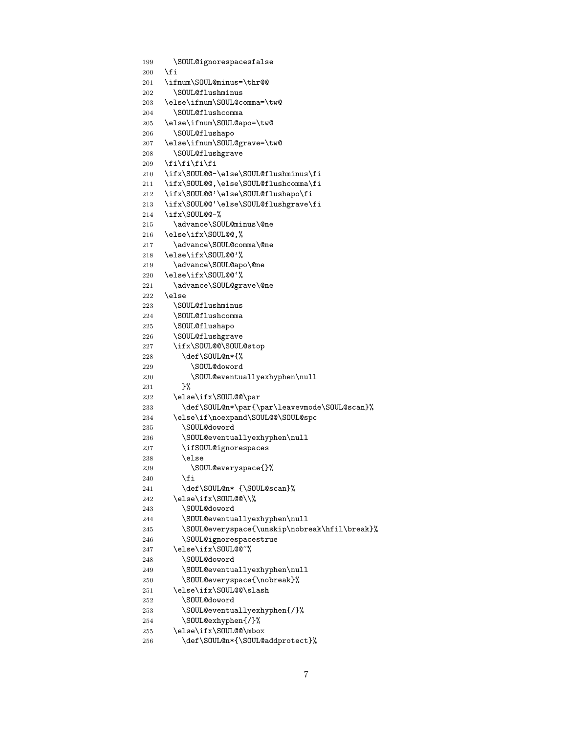```
199 \SOUL@ignorespacesfalse
200 \setminusfi
201 \ifnum\SOUL@minus=\thr@@
202 \SOUL@flushminus
203 \else\ifnum\SOUL@comma=\tw@
204 \SOUL@flushcomma
205 \else\ifnum\SOUL@apo=\tw@
206 \SOUL@flushapo
207 \else\ifnum\SOUL@grave=\tw@
208 \SOUL@flushgrave
209 \fi\fi\fi\fi
210 \ifx\SOUL@@-\else\SOUL@flushminus\fi
211 \ifx\SOUL@@,\else\SOUL@flushcomma\fi
212 \ifx\SOUL@@'\else\SOUL@flushapo\fi
213 \ifx\SOUL@@'\else\SOUL@flushgrave\fi
214 \ifx\SOUL@@-%
215 \advance\SOUL@minus\@ne
216 \else\ifx\SOUL@@,%
217 \advance\SOUL@comma\@ne
218 \else\ifx\SOUL@@'%
219 \advance\SOUL@apo\@ne
220 \else\ifx\SOUL@@'%
221 \advance\SOUL@grave\@ne
222 \else
223 \SOUL@flushminus
224 \SOUL@flushcomma
225 \SOUL@flushapo
226 \SOUL@flushgrave
227 \ifx\SOUL@@\SOUL@stop
228 \def\SOUL@n*{%
229 \SOUL@doword
230 \SOUL@eventuallyexhyphen\null
231 }%
232 \else\ifx\SOUL@@\par
233 \def\SOUL@n*\par{\par\leavevmode\SOUL@scan}%
234 \else\if\noexpand\SOUL@@\SOUL@spc
235 \SOUL@doword
236 \SOUL@eventuallyexhyphen\null
237 \ifSOUL@ignorespaces
238 \else
239 \SOUL@everyspace{}%
240 \overrightarrow{f_i}241 \def\SOUL@n* {\SOUL@scan}%
242 \else\ifx\SOUL@@\\%
243 \SOUL@doword
244 \SOUL@eventuallyexhyphen\null
245 \SOUL@everyspace{\unskip\nobreak\hfil\break}%
246 \SOUL@ignorespacestrue
247 \else\ifx\SOUL@@~%
248 \SOUL@doword
249 \SOUL@eventuallyexhyphen\null
250 \SOUL@everyspace{\nobreak}%
251 \else\ifx\SOUL@@\slash
252 \SOUL@doword
253 \SOUL@eventuallyexhyphen{/}%
254 \SOUL@exhyphen{/}%
255 \else\ifx\SOUL@@\mbox
```

```
256 \def\SOUL@n*{\SOUL@addprotect}%
```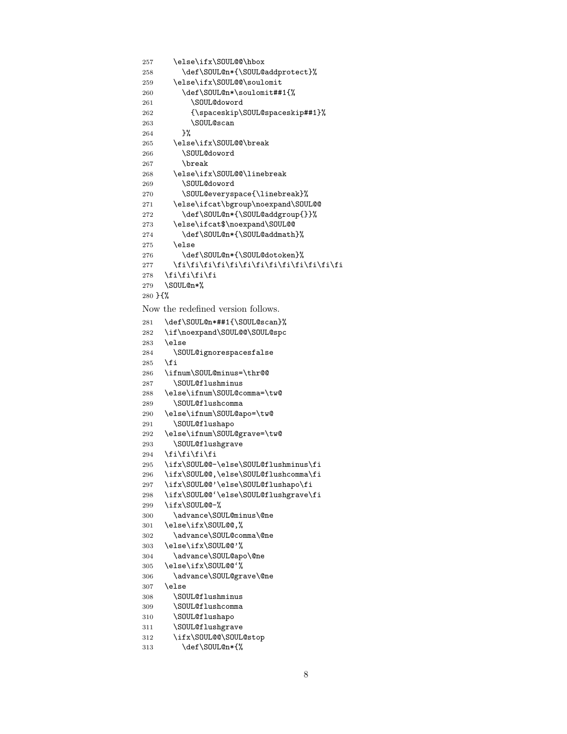```
257 \else\ifx\SOUL@@\hbox
258 \def\SOUL@n*{\SOUL@addprotect}%
259 \else\ifx\SOUL@@\soulomit
260 \def\SOUL@n*\soulomit##1{%
261 \SOUL@doword
262 {\spaceskip\SOUL@spaceskip##1}%
263 \SOUL@scan
264 }%
265 \else\ifx\SOUL@@\break
266 \SOUL@doword
267 \break
268 \else\ifx\SOUL@@\linebreak
269 \SOUL@doword
270 \SOUL@everyspace{\linebreak}%
271 \else\ifcat\bgroup\noexpand\SOUL@@
272 \def\SOUL@n*{\SOUL@addgroup{}}%
273 \else\ifcat$\noexpand\SOUL@@
274 \def\SOUL@n*{\SOUL@addmath}%
275 \else
276 \def\SOUL@n*{\SOUL@dotoken}%
277 \fi\fi\fi\fi\fi\fi\fi\fi\fi\fi\fi\fi\fi
278 \fi\fi\fi\fi
279 \SOUL@n*%
280 }{%
```
<span id="page-7-43"></span><span id="page-7-29"></span><span id="page-7-27"></span><span id="page-7-26"></span><span id="page-7-25"></span><span id="page-7-9"></span><span id="page-7-8"></span>Now the redefined version follows.

```
281 \def\SOUL@n*##1{\SOUL@scan}%
282 \if\noexpand\SOUL@@\SOUL@spc
283 \else
284 \SOUL@ignorespacesfalse
285 \fi
286 \ifnum\SOUL@minus=\thr@@
287 \SOUL@flushminus
288 \else\ifnum\SOUL@comma=\tw@
289 \SOUL@flushcomma
290 \else\ifnum\SOUL@apo=\tw@
291 \SOUL@flushapo
292 \else\ifnum\SOUL@grave=\tw@
293 \SOUL@flushgrave
294 \fi\fi\fi\fi
295 \ifx\SOUL@@-\else\SOUL@flushminus\fi
296 \ifx\SOUL@@,\else\SOUL@flushcomma\fi
297 \ifx\SOUL@@'\else\SOUL@flushapo\fi
298 \ifx\SOUL@@'\else\SOUL@flushgrave\fi
299 \ifx\SOUL@@-%
300 \advance\SOUL@minus\@ne
301 \else\ifx\SOUL@@,%
302 \advance\SOUL@comma\@ne
303 \else\ifx\SOUL@@'%
304 \advance\SOUL@apo\@ne
305 \else\ifx\SOUL@@'%
306 \advance\SOUL@grave\@ne
307 \else
308 \SOUL@flushminus
309 \SOUL@flushcomma
310 \SOUL@flushapo
311 \SOUL@flushgrave
312 \ifx\SOUL@@\SOUL@stop
313 \def\SOUL@n*{%
```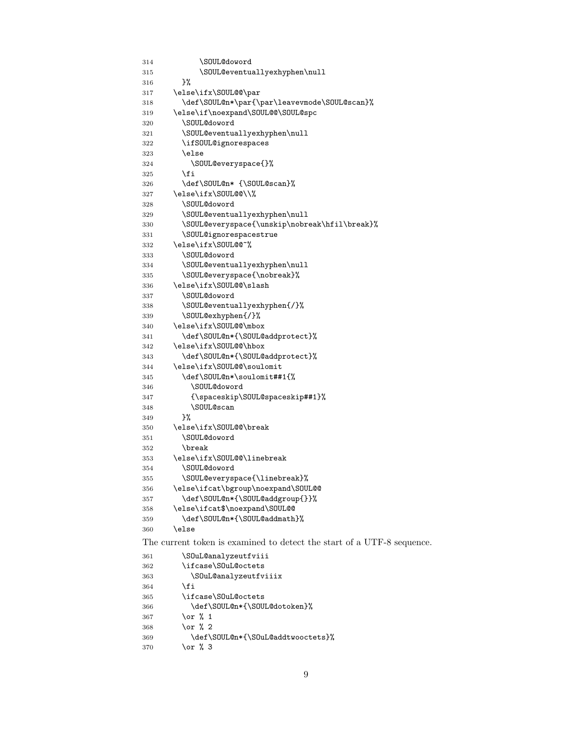```
314 \SOUL@doword
315 \SOUL@eventuallyexhyphen\null
316 }%
317 \else\ifx\SOUL@@\par
318 \def\SOUL@n*\par{\par\leavevmode\SOUL@scan}%
319 \else\if\noexpand\SOUL@@\SOUL@spc
320 \SOUL@doword
321 \SOUL@eventuallyexhyphen\null
322 \ifSOUL@ignorespaces
323 \else
324 \SOUL@everyspace{}%
325 \fi
326 \def\SOUL@n* {\SOUL@scan}%
327 \else\ifx\SOUL@@\\%
328 \SOUL@doword
329 \SOUL@eventuallyexhyphen\null
330 \SOUL@everyspace{\unskip\nobreak\hfil\break}%
331 \SOUL@ignorespacestrue
332 \else\ifx\SOUL@@~%
333 \SOUL@doword
334 \SOUL@eventuallyexhyphen\null
335 \SOUL@everyspace{\nobreak}%
336 \else\ifx\SOUL@@\slash
337 \SOUL@doword
338 \SOUL@eventuallyexhyphen{/}%
339 \SOUL@exhyphen{/}%
340 \else\ifx\SOUL@@\mbox
341 \def\SOUL@n*{\SOUL@addprotect}%
342 \else\ifx\SOUL@@\hbox
343 \def\SOUL@n*{\SOUL@addprotect}%
344 \else\ifx\SOUL@@\soulomit
345 \def\SOUL@n*\soulomit##1{%
346 \SOUL@doword
347 {\spaceskip\SOUL@spaceskip##1}%
348 \SOUL@scan
349 }%
350 \else\ifx\SOUL@@\break
351 \SOUL@doword
352 \break
353 \else\ifx\SOUL@@\linebreak
354 \SOUL@doword
355 \SOUL@everyspace{\linebreak}%
356 \else\ifcat\bgroup\noexpand\SOUL@@
357 \def\SOUL@n*{\SOUL@addgroup{}}%
358 \else\ifcat$\noexpand\SOUL@@
359 \def\SOUL@n*{\SOUL@addmath}%
360 \else
The current token is examined to detect the start of a UTF-8 sequence.
361 \SOuL@analyzeutfviii
362 \ifcase\SOuL@octets
363 \SOuL@analyzeutfviiix
364 \fi
365 \ifcase\SOuL@octets
366 \def\SOUL@n*{\SOUL@dotoken}%
367 \or % 1
368 \or % 2
369 \def\SOUL@n*{\SOuL@addtwooctets}%
370 \or % 3
```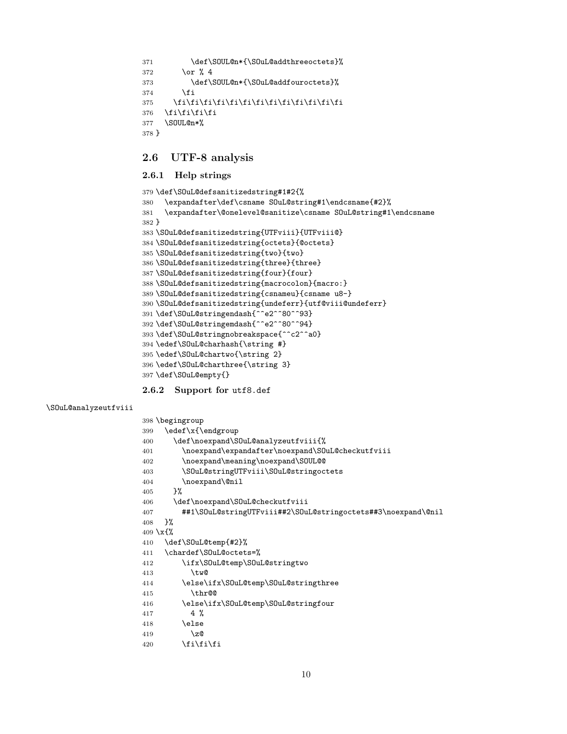```
371 \def\SOUL@n*{\SOuL@addthreeoctets}%
372 \or \sqrt{4}373 \def\SOUL@n*{\SOuL@addfouroctets}%
374 \fi
375 \fi\fi\fi\fi\fi\fi\fi\fi\fi\fi\fi\fi\fi
376 \fi\fi\fi\fi
377 \SOUL@n*%
378 }
```
# <span id="page-9-30"></span><span id="page-9-0"></span>2.6 UTF-8 analysis

### <span id="page-9-1"></span>2.6.1 Help strings

```
379 \def\SOuL@defsanitizedstring#1#2{%
380 \expandafter\def\csname SOuL@string#1\endcsname{#2}%
381 \expandafter\@onelevel@sanitize\csname SOuL@string#1\endcsname
382 }
383 \SOuL@defsanitizedstring{UTFviii}{UTFviii@}
384 \SOuL@defsanitizedstring{octets}{@octets}
385 \SOuL@defsanitizedstring{two}{two}
386 \SOuL@defsanitizedstring{three}{three}
387 \SOuL@defsanitizedstring{four}{four}
388 \SOuL@defsanitizedstring{macrocolon}{macro:}
389 \SOuL@defsanitizedstring{csnameu}{csname u8-}
390 \SOuL@defsanitizedstring{undeferr}{utf@viii@undeferr}
391 \def\SOuL@stringendash{^^e2^^80^^93}
392 \def\SOuL@stringemdash{^^e2^^80^^94}
393 \def\SOuL@stringnobreakspace{^^c2^^a0}
394 \edef\SOuL@charhash{\string #}
395 \edef\SOuL@chartwo{\string 2}
396 \edef\SOuL@charthree{\string 3}
397 \def\SOuL@empty{}
```
<span id="page-9-33"></span><span id="page-9-32"></span><span id="page-9-31"></span><span id="page-9-29"></span><span id="page-9-28"></span><span id="page-9-27"></span><span id="page-9-17"></span><span id="page-9-16"></span><span id="page-9-15"></span><span id="page-9-2"></span>2.6.2 Support for utf8.def

```
\SOuL@analyzeutfviii
```

```
398 \begingroup
399 \edef\x{\endgroup
400 \def\noexpand\SOuL@analyzeutfviii{%
401 \noexpand\expandafter\noexpand\SOuL@checkutfviii
402 \noexpand\meaning\noexpand\SOUL@@
403 \SOuL@stringUTFviii\SOuL@stringoctets
404 \noexpand\@nil
405 }%
406 \def\noexpand\SOuL@checkutfviii
407 ##1\SOuL@stringUTFviii##2\SOuL@stringoctets##3\noexpand\@nil
408 }%
409 \x{%
410 \def\SOuL@temp{#2}%
411 \chardef\SOuL@octets=%
412 \ifx\SOuL@temp\SOuL@stringtwo
413 \tw@
414 \else\ifx\SOuL@temp\SOuL@stringthree
415 \thr@@
416 \else\ifx\SOuL@temp\SOuL@stringfour
417 4 %
418 \else
419 \anglez
420 \quad \text{ifififif}
```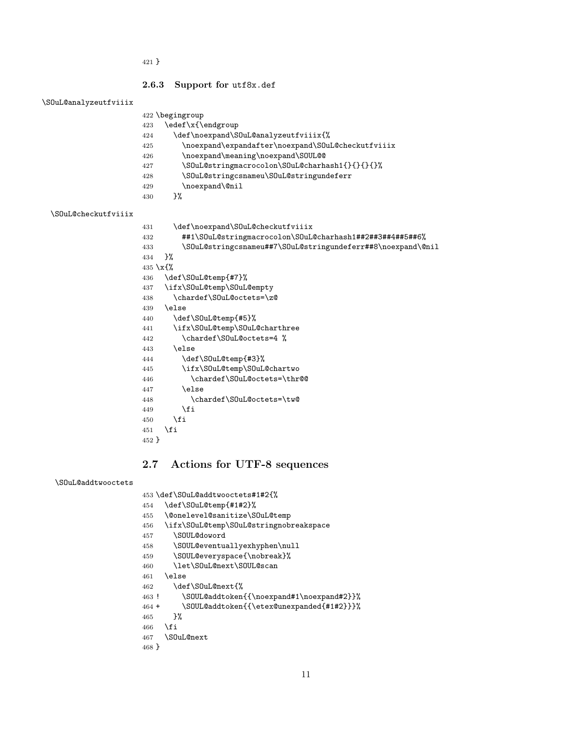}

#### <span id="page-10-33"></span><span id="page-10-28"></span><span id="page-10-22"></span><span id="page-10-20"></span><span id="page-10-14"></span><span id="page-10-0"></span>2.6.3 Support for utf8x.def

#### <span id="page-10-19"></span>\SOuL@analyzeutfviiix

<span id="page-10-23"></span>

|                     |           | $422$ begingroup                                            |
|---------------------|-----------|-------------------------------------------------------------|
|                     | 423       | \edef\x{\endgroup                                           |
|                     | 424       | \def\noexpand\S0uL@analyzeutfviiix{%                        |
|                     | 425       | \noexpand\expandafter\noexpand\S0uL@checkutfviiix           |
|                     | 426       | \noexpand\meaning\noexpand\SOUL@@                           |
|                     | 427       | \S0uL@stringmacrocolon\S0uL@charhash1{}{}{}{}}              |
|                     | 428       | \S0uL@stringcsnameu\S0uL@stringundeferr                     |
|                     | 429       | \noexpand\@nil                                              |
|                     | 430       | }%                                                          |
| \S0uL@checkutfviiix |           |                                                             |
|                     | 431       | \def\noexpand\S0uL@checkutfviiix                            |
|                     | 432       | ##1\SOuL@stringmacrocolon\SOuL@charhash1##2##3##4##5##6%    |
|                     | 433       | \S0uL@stringcsnameu##7\S0uL@stringundeferr##8\noexpand\@nil |
|                     | 434       | ጉ%                                                          |
|                     | 435 \x{\% |                                                             |
|                     | 436       | \def\S0uL@temp{#7}%                                         |

<span id="page-10-34"></span><span id="page-10-31"></span><span id="page-10-30"></span><span id="page-10-29"></span><span id="page-10-21"></span><span id="page-10-11"></span><span id="page-10-10"></span><span id="page-10-6"></span><span id="page-10-5"></span><span id="page-10-3"></span><span id="page-10-2"></span> \def\SOuL@temp{#7}% \ifx\SOuL@temp\SOuL@empty \chardef\SOuL@octets=\z@ \else \def\SOuL@temp{#5}% \ifx\SOuL@temp\SOuL@charthree \chardef\SOuL@octets=4 % 443 \else \def\SOuL@temp{#3}% \ifx\SOuL@temp\SOuL@chartwo \chardef\SOuL@octets=\thr@@ \else \chardef\SOuL@octets=\tw@ \fi \fi \fi }

# <span id="page-10-12"></span><span id="page-10-8"></span><span id="page-10-7"></span><span id="page-10-1"></span>2.7 Actions for UTF-8 sequences

#### <span id="page-10-18"></span>\SOuL@addtwooctets

\def\SOuL@addtwooctets#1#2{%

- <span id="page-10-32"></span>\def\SOuL@temp{#1#2}%
- <span id="page-10-4"></span>\@onelevel@sanitize\SOuL@temp
- <span id="page-10-13"></span>\ifx\SOuL@temp\SOuL@stringnobreakspace
- <span id="page-10-24"></span>\SOUL@doword
- <span id="page-10-16"></span>\SOUL@eventuallyexhyphen\null
- <span id="page-10-15"></span>\SOUL@everyspace{\nobreak}%
- <span id="page-10-25"></span>\let\SOuL@next\SOUL@scan
- \else
- <span id="page-10-26"></span>\def\SOuL@next{%
- <span id="page-10-17"></span>! \SOUL@addtoken{{\noexpand#1\noexpand#2}}%
- <span id="page-10-9"></span>+ \SOUL@addtoken{{\etex@unexpanded{#1#2}}}%
- }%
- 466  $\overline{f}$
- <span id="page-10-27"></span>\SOuL@next

```
468 }
```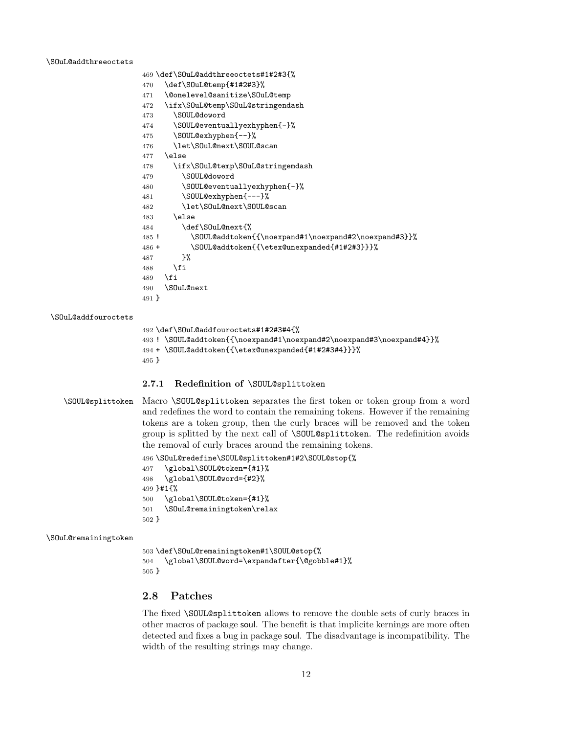#### <span id="page-11-9"></span>\SOuL@addthreeoctets

```
470 \def\SOuL@temp{#1#2#3}%
471 \@onelevel@sanitize\SOuL@temp
472 \ifx\SOuL@temp\SOuL@stringendash
473 \SOUL@doword
474 \SOUL@eventuallyexhyphen{-}%
475 \SOUL@exhyphen{--}%
476 \let\SOuL@next\SOUL@scan
477 \else
478 \ifx\SOuL@temp\SOuL@stringemdash
479 \SOUL@doword
480 \SOUL@eventuallyexhyphen{-}%
481 \SOUL@exhyphen{---}%
482 \let\SOuL@next\SOUL@scan
483 \else
484 \def\SOuL@next{%
485 ! \SOUL@addtoken{{\noexpand#1\noexpand#2\noexpand#3}}%
486 + \SOUL@addtoken{{\etex@unexpanded{#1#2#3}}}%
487 }%
488 \fi
489 \fi
490 \SOuL@next
491 }
```
#### <span id="page-11-8"></span>\SOuL@addfouroctets

```
492 \def\SOuL@addfouroctets#1#2#3#4{%
493 ! \SOUL@addtoken{{\noexpand#1\noexpand#2\noexpand#3\noexpand#4}}%
494 + \SOUL@addtoken{{\etex@unexpanded{#1#2#3#4}}}%
495 }
```
#### <span id="page-11-0"></span>2.7.1 Redefinition of \SOUL@splittoken

\def\SOuL@addthreeoctets#1#2#3{%

<span id="page-11-25"></span>\SOUL@splittoken Macro \SOUL@splittoken separates the first token or token group from a word and redefines the word to contain the remaining tokens. However if the remaining tokens are a token group, then the curly braces will be removed and the token group is splitted by the next call of \SOUL@splittoken. The redefinition avoids the removal of curly braces around the remaining tokens.

```
496 \SOuL@redefine\SOUL@splittoken#1#2\SOUL@stop{%
497 \global\SOUL@token={#1}%
498 \global\SOUL@word={#2}%
499 }#1{%
500 \global\SOUL@token={#1}%
501 \SOuL@remainingtoken\relax
502 }
```
#### <span id="page-11-24"></span>\SOuL@remainingtoken

```
503 \def\SOuL@remainingtoken#1\SOUL@stop{%
504 \global\SOUL@word=\expandafter{\@gobble#1}%
505 }
```
# <span id="page-11-1"></span>2.8 Patches

The fixed \SOUL@splittoken allows to remove the double sets of curly braces in other macros of package soul. The benefit is that implicite kernings are more often detected and fixes a bug in package soul. The disadvantage is incompatibility. The width of the resulting strings may change.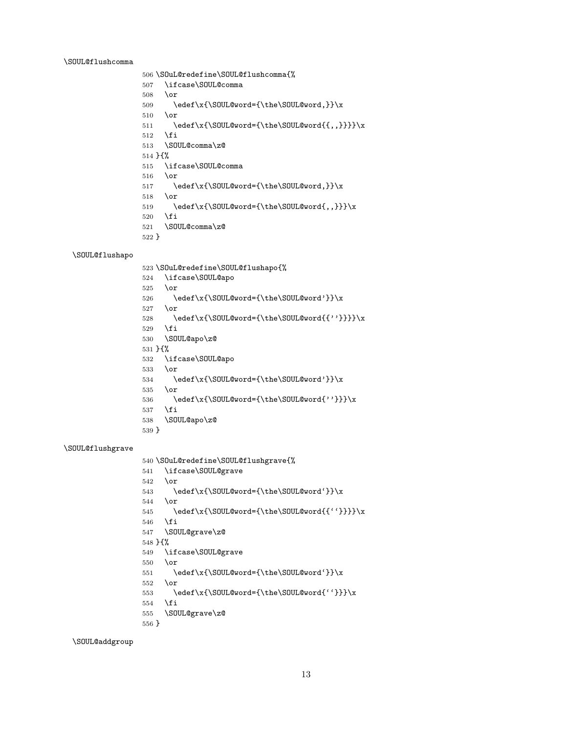#### <span id="page-12-12"></span>\SOUL@flushcomma

```
506 \SOuL@redefine\SOUL@flushcomma{%
507 \ifcase\SOUL@comma
508 \or
509 \edef\x{\SOUL@word={\the\SOUL@word,}}\x
510 \or
511 \edef\x{\SOUL@word={\the\SOUL@word{{,,}}}}\x
512 \fi
513 \SOUL@comma\z@
514 }{%
515 \ifcase\SOUL@comma
516 \or
517 \edef\x{\SOUL@word={\the\SOUL@word,}}\x
518 \or
519 \edef\x{\SOUL@word={\the\SOUL@word{,,}}}\x
520 \fi
521 \SOUL@comma\z@
522 }
```
### <span id="page-12-11"></span>\SOUL@flushapo

<span id="page-12-24"></span><span id="page-12-23"></span><span id="page-12-22"></span><span id="page-12-21"></span><span id="page-12-17"></span><span id="page-12-10"></span><span id="page-12-2"></span>

|                     | 523 \S0uL@redefine\S0UL@flushapo{%           |
|---------------------|----------------------------------------------|
| 524                 | \ifcase\SOUL@apo                             |
| 525                 | \or                                          |
| 526                 | \edef\x{\SOUL@word={\the\SOUL@word'}}\x      |
| 527                 | \or                                          |
| 528                 | \edef\x{\SOUL@word={\the\SOUL@word{{''}}}}\x |
| 529                 | \fi                                          |
| 530                 | \SOUL@apo\z@                                 |
| $531 \; \text{H}$ % |                                              |
| 532                 | \ifcase\SOUL@apo                             |
| 533                 | \or                                          |
| 534                 | \edef\x{\SOUL@word={\the\SOUL@word'}}\x      |
| 535                 | \or                                          |
| 536                 | \edef\x{\SOUL@word={\the\SOUL@word{''}}}\x   |
| 537                 | \fi                                          |
| 538                 | \SOUL@apo\z@                                 |
| $539$ }             |                                              |
|                     |                                              |

### <span id="page-12-13"></span>\SOUL@flushgrave

<span id="page-12-6"></span>\SOUL@addgroup

```
541 \ifcase\SOUL@grave
542 \or
543 \edef\x{\SOUL@word={\the\SOUL@word'}}\x
544 \or
545 \edef\x{\SOUL@word={\the\SOUL@word{{''}}}}\x
```

```
546 \fi
547 \SOUL@grave\z@
```

```
548 }{%
```

```
549 \ifcase\SOUL@grave
550 \or
```

```
551 \edef\x{\SOUL@word={\the\SOUL@word'}}\x
```
}

```
552 \or
```

```
553 \edef\x{\SOUL@word={\the\SOUL@word{''}}}\x
```

```
555 \SOUL@grave\z@
```

```
554 \fi
```

```
540 \SOuL@redefine\SOUL@flushgrave{%
```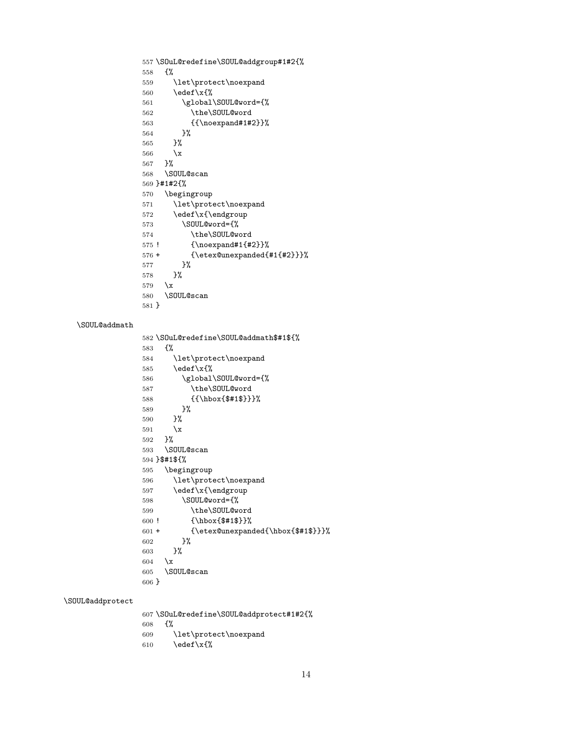```
557 \SOuL@redefine\SOUL@addgroup#1#2{%
558 {%
559 \let\protect\noexpand
560 \edef\x{%
561 \global\SOUL@word={%
562 \the\SOUL@word
563 {{\noexpand#1#2}}%
564 }%
565 }%
566 \chi567 }%
568 \SOUL@scan
569 }#1#2{%
570 \begingroup
571 \let\protect\noexpand
572 \edef\x{\endgroup
573 \SOUL@word={%
574 \the\SOUL@word
575 ! {\noexpand#1{#2}}%
576 + {\etex@unexpanded{#1{#2}}}%
577 }%
578 }%
579 \x
580 \SOUL@scan
581 }
582 \SOuL@redefine\SOUL@addmath$#1${%
583 {%
584 \let\protect\noexpand
585 \text{def}\x{\}}586 \global\SOUL@word={%
587 \the\SOUL@word
588 {{\hbox{$#1$}}}%
589 }%
590 }%
591 \chi592 }%
593 \SOUL@scan
594 }$#1${%
595 \begingroup
596 \let\protect\noexpand
597 \edef\x{\endgroup
598 \SOUL@word={%
599 \the\SOUL@word
600 ! {\hbox{$#1$}}%
601 + {\etex@unexpanded{\hbox{$#1$}}}%
602 }%
603 }%
604 \quad \lambda x605 \SOUL@scan
606 }
```
### <span id="page-13-10"></span>\SOUL@addprotect

<span id="page-13-31"></span><span id="page-13-30"></span><span id="page-13-29"></span><span id="page-13-28"></span><span id="page-13-23"></span><span id="page-13-22"></span><span id="page-13-21"></span><span id="page-13-20"></span><span id="page-13-16"></span><span id="page-13-15"></span><span id="page-13-12"></span><span id="page-13-9"></span><span id="page-13-6"></span><span id="page-13-5"></span><span id="page-13-2"></span><span id="page-13-0"></span>\SOUL@addmath

<span id="page-13-34"></span><span id="page-13-33"></span><span id="page-13-32"></span><span id="page-13-25"></span><span id="page-13-24"></span><span id="page-13-17"></span><span id="page-13-13"></span><span id="page-13-8"></span><span id="page-13-7"></span><span id="page-13-3"></span><span id="page-13-1"></span> \SOuL@redefine\SOUL@addprotect#1#2{% {% \let\protect\noexpand  $\ede f\ x\$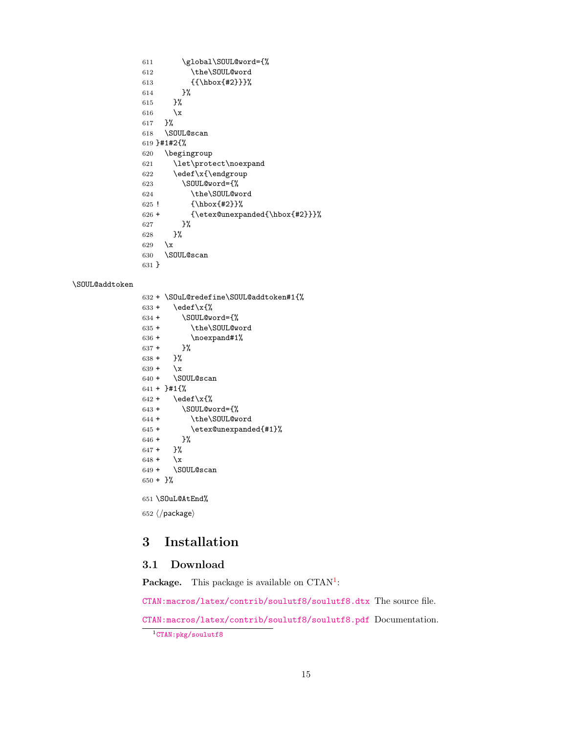<span id="page-14-24"></span><span id="page-14-23"></span><span id="page-14-16"></span><span id="page-14-15"></span><span id="page-14-11"></span><span id="page-14-7"></span><span id="page-14-5"></span> \global\SOUL@word={% \the\SOUL@word {{\hbox{#2}}}% 614 }% 615 }% 616  $\chi$ 617 }% \SOUL@scan 619 }#1#2{% \begingroup \let\protect\noexpand \edef\x{\endgroup \SOUL@word={% \the\SOUL@word ! {\hbox{#2}}% + {\etex@unexpanded{\hbox{#2}}}% 627 }% 628 }%  $\overline{\phantom{1}}$  \SOUL@scan 631 }

#### <span id="page-14-8"></span>\SOUL@addtoken

<span id="page-14-28"></span><span id="page-14-27"></span><span id="page-14-26"></span><span id="page-14-25"></span><span id="page-14-22"></span><span id="page-14-21"></span><span id="page-14-20"></span><span id="page-14-19"></span><span id="page-14-18"></span><span id="page-14-17"></span><span id="page-14-13"></span><span id="page-14-12"></span><span id="page-14-10"></span><span id="page-14-6"></span><span id="page-14-3"></span>632 + \SOuL@redefine\SOUL@addtoken#1{%  $633 + \text{edef}\x{\%}$ 634 + \SOUL@word={% 635 + \the\SOUL@word  $636 + \n\cdot + \n\neq 1\%$  $637 +$  }%  $638 +$  }%  $639 + \chi$  $640 + \sqrt{SDUL@scan}$  $641 + \}$ #1{%  $642$  + \edef\x{%  $643 + \$  \SOUL@word={%} 644 + \the\SOUL@word 645 + \etex@unexpanded{#1}%  $646 +$  }%  $647 +$  }%  $648 + \chi$ 649 + \SOUL@scan  $650 + \frac{1}{6}$ 651 \SOuL@AtEnd% 652  $\langle$ /package $\rangle$ 

# <span id="page-14-29"></span><span id="page-14-14"></span><span id="page-14-9"></span><span id="page-14-4"></span><span id="page-14-0"></span>3 Installation

# <span id="page-14-1"></span>3.1 Download

**Package.** This package is available on  $CTAN^1$  $CTAN^1$ :

[CTAN:macros/latex/contrib/soulutf8/soulutf8.dtx](https://ctan.org/tex-archive/macros/latex/contrib/soulutf8/soulutf8.dtx) The source file.

[CTAN:macros/latex/contrib/soulutf8/soulutf8.pdf](https://ctan.org/tex-archive/macros/latex/contrib/soulutf8/soulutf8.pdf) Documentation.

<span id="page-14-2"></span><sup>1</sup>[CTAN:pkg/soulutf8](http://ctan.org/pkg/soulutf8)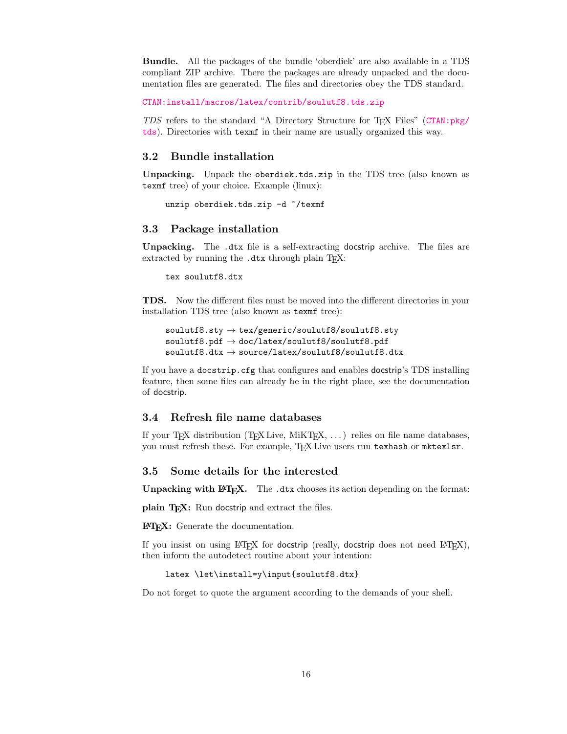Bundle. All the packages of the bundle 'oberdiek' are also available in a TDS compliant ZIP archive. There the packages are already unpacked and the documentation files are generated. The files and directories obey the TDS standard.

[CTAN:install/macros/latex/contrib/soulutf8.tds.zip](http://mirrors.ctan.org/install/macros/latex/contrib/soulutf8.tds.zip)

TDS refers to the standard "A Directory Structure for TEX Files" ([CTAN:pkg/](http://ctan.org/pkg/tds) [tds](http://ctan.org/pkg/tds)). Directories with texmf in their name are usually organized this way.

### <span id="page-15-0"></span>3.2 Bundle installation

Unpacking. Unpack the oberdiek.tds.zip in the TDS tree (also known as texmf tree) of your choice. Example (linux):

unzip oberdiek.tds.zip -d "/texmf

### <span id="page-15-1"></span>3.3 Package installation

Unpacking. The .dtx file is a self-extracting docstrip archive. The files are extracted by running the .dtx through plain T<sub>E</sub>X:

tex soulutf8.dtx

TDS. Now the different files must be moved into the different directories in your installation TDS tree (also known as texmf tree):

```
soulutf8.sty \rightarrow tex/generic/soulutf8/soulutf8.sty
\texttt{sound148.pdf} \rightarrow \texttt{doc/latex}/\texttt{sound18}/\texttt{sound18.pdf}\texttt{sound18.dat} \rightarrow \texttt{source/latex/sound18/soulutf8.dat}
```
If you have a docstrip.cfg that configures and enables docstrip's TDS installing feature, then some files can already be in the right place, see the documentation of docstrip.

### <span id="page-15-2"></span>3.4 Refresh file name databases

If your T<sub>E</sub>X distribution (T<sub>E</sub>X Live, MiKT<sub>E</sub>X,  $\ldots$ ) relies on file name databases, you must refresh these. For example, TFX Live users run texhash or mktexlsr.

#### <span id="page-15-3"></span>3.5 Some details for the interested

Unpacking with LAT<sub>E</sub>X. The .dtx chooses its action depending on the format:

plain T<sub>E</sub>X: Run docstrip and extract the files.

LATEX: Generate the documentation.

If you insist on using  $L^2T_FX$  for docstrip (really, docstrip does not need  $L^2T_FX$ ), then inform the autodetect routine about your intention:

latex \let\install=y\input{soulutf8.dtx}

Do not forget to quote the argument according to the demands of your shell.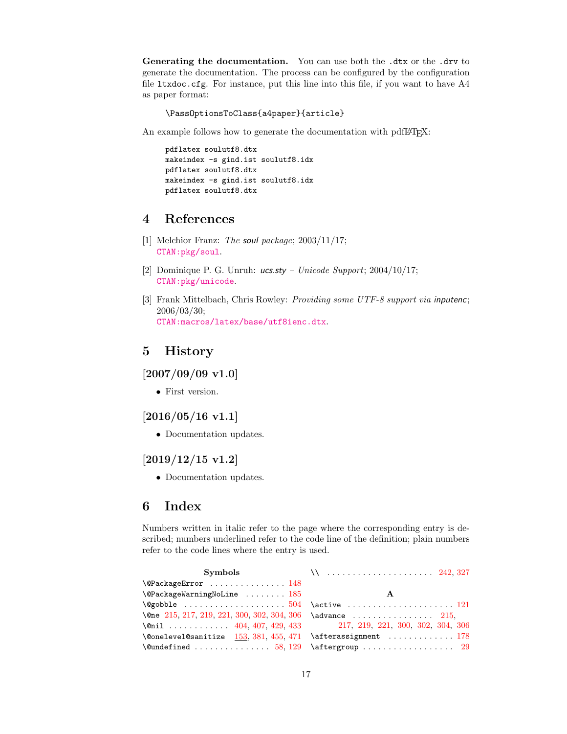Generating the documentation. You can use both the .dtx or the .drv to generate the documentation. The process can be configured by the configuration file ltxdoc.cfg. For instance, put this line into this file, if you want to have A4 as paper format:

\PassOptionsToClass{a4paper}{article}

An example follows how to generate the documentation with pdfIAT<sub>E</sub>X:

```
pdflatex soulutf8.dtx
makeindex -s gind.ist soulutf8.idx
pdflatex soulutf8.dtx
makeindex -s gind.ist soulutf8.idx
pdflatex soulutf8.dtx
```
# <span id="page-16-0"></span>4 References

- <span id="page-16-6"></span>[1] Melchior Franz: The soul package;  $2003/11/17$ ; [CTAN:pkg/soul](http://ctan.org/pkg/soul).
- <span id="page-16-8"></span>[2] Dominique P. G. Unruh:  $ucs.sty$  – Unicode Support; 2004/10/17; [CTAN:pkg/unicode](http://ctan.org/pkg/unicode).
- <span id="page-16-7"></span>[3] Frank Mittelbach, Chris Rowley: Providing some UTF-8 support via inputenc; 2006/03/30; [CTAN:macros/latex/base/utf8ienc.dtx](https://ctan.org/tex-archive/macros/latex/base/utf8ienc.dtx).

# <span id="page-16-1"></span>5 History

<span id="page-16-2"></span> $[2007/09/09 \text{ v}1.0]$ 

• First version.

# <span id="page-16-3"></span> $[2016/05/16 \text{ v}1.1]$

• Documentation updates.

### <span id="page-16-4"></span>[2019/12/15 v1.2]

• Documentation updates.

# <span id="page-16-5"></span>6 Index

Numbers written in italic refer to the page where the corresponding entry is described; numbers underlined refer to the code line of the definition; plain numbers refer to the code lines where the entry is used.

| $\Q$ PackageError  148                                        |   |
|---------------------------------------------------------------|---|
| $\Q$ PackageWarningNoLine  185                                | A |
|                                                               |   |
|                                                               |   |
| \@nil  404, 407, 429, 433 $217, 219, 221, 300, 302, 304, 306$ |   |
| $\text{Qonelevel}$ Consequent in the same in the set of $178$ |   |
|                                                               |   |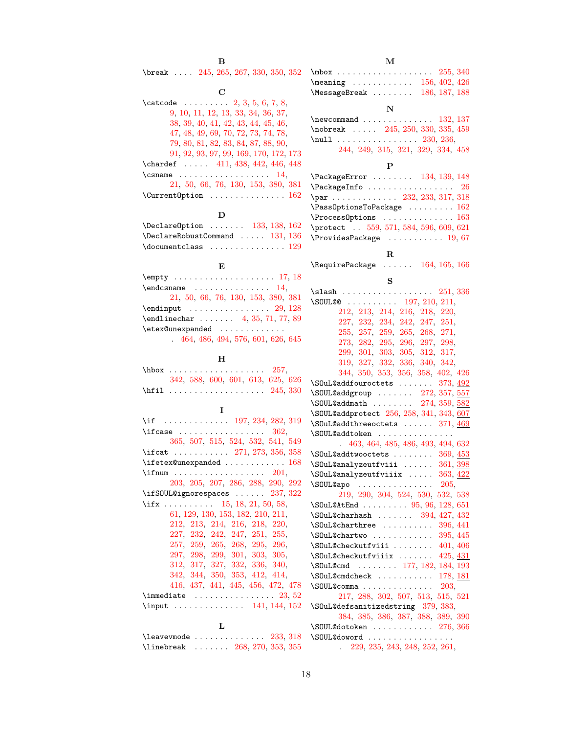| \break $\ldots$ 245, 265, 267, 330, 350, 352                 |                                                                                     |
|--------------------------------------------------------------|-------------------------------------------------------------------------------------|
| С                                                            | $\frac{156}{402}$ , 426<br>$\text{MessageBreak } \ldots \ldots \quad 186, 187, 188$ |
| \catcode $2, 3, 5, 6, 7, 8,$                                 |                                                                                     |
| 9, 10, 11, 12, 13, 33, 34, 36, 37,                           | N                                                                                   |
| 38, 39, 40, 41, 42, 43, 44, 45, 46,                          | $\neq$ 22, 137                                                                      |
| 47, 48, 49, 69, 70, 72, 73, 74, 78,                          | \nobreak $245, 250, 330, 335, 459$                                                  |
| 79, 80, 81, 82, 83, 84, 87, 88, 90,                          | $\h{null}$ 230, 236,                                                                |
| 91, 92, 93, 97, 99, 169, 170, 172, 173                       | 244, 249, 315, 321, 329, 334, 458                                                   |
| \chardef $\ldots$ 411, 438, 442, 446, 448                    | P                                                                                   |
| $\{\text{csname} \dots \dots \dots \dots \quad 14,$          | \PackageError  134, 139, 148                                                        |
| 21, 50, 66, 76, 130, 153, 380, 381                           | $\lambda$ PackageInfo  26                                                           |
| $\Upsilon$ urrentOption  162                                 | \par 232, 233, 317, 318                                                             |
|                                                              | $\text{Pass}$ OptionsToPackage  162                                                 |
| D                                                            | $\P$ rocessOptions  163                                                             |
| $\Delta$ DeclareOption  133, 138, 162                        | \protect . 559, 571, 584, 596, 609, 621                                             |
| $\Delta$ 131, 136                                            | $\verb+\ProvidesPackage + \verb+\.\dots + 19, 67$                                   |
| $\lambda$ documentclass  129                                 |                                                                                     |
|                                                              | R                                                                                   |
| E                                                            | $\lambda$ Require Package $\ldots$ 164, 165, 166                                    |
|                                                              | s                                                                                   |
| $\end{math}$ $14$ ,                                          |                                                                                     |
| 21, 50, 66, 76, 130, 153, 380, 381                           | \SOUL@@ $197, 210, 211,$                                                            |
|                                                              | 212, 213, 214, 216, 218, 220,                                                       |
| $\end{t}[eq:1]$ 4, 35, 71, 77, 89                            | 227, 232, 234, 242, 247, 251,                                                       |
| \etex@unexpanded                                             | 255, 257, 259, 265, 268, 271,                                                       |
| .464, 486, 494, 576, 601, 626, 645                           | 273, 282, 295, 296, 297, 298,                                                       |
|                                                              | 299, 301, 303, 305, 312, 317,                                                       |
| н                                                            | 319, 327, 332, 336, 340, 342,                                                       |
| $\hbox{\tt hbox} \ldots \ldots \ldots \ldots 257,$           | 344, 350, 353, 356, 358, 402, 426                                                   |
| 342, 588, 600, 601, 613, 625, 626                            | \S0uL@addfouroctets  373, 492                                                       |
|                                                              | \SOUL@addgroup  272, 357, 557                                                       |
|                                                              | $\text{SOUL@addmath   274, 359, 582}$                                               |
| I.                                                           | \SOUL@addprotect 256, 258, 341, 343, 607                                            |
| \if  197, 234, 282, 319                                      | $\S0u$ L@addthreeoctets  371, 469                                                   |
| $\backslash$ ifcase $362,$                                   | \SOUL@addtoken                                                                      |
| 365, 507, 515, 524, 532, 541, 549                            | 463, 464, 485, 486, 493, 494, 632                                                   |
| \ifcat $271, 273, 356, 358$                                  | $\S0u$ L@addtwooctets  369, 453                                                     |
| $\left\{ \left( 168 \right) \right\}$                        | $\S$ OuL@analyzeutfviii  361, 398                                                   |
|                                                              | \S0uL@analyzeutfviiix  363, 422                                                     |
| 203, 205, 207, 286, 288, 290, 292                            | $\S$ OUL@apo 205,                                                                   |
| $\left\{ \right\}$ $\left\{ 237,322\right\}$                 | 219, 290, 304, 524, 530, 532, 538                                                   |
| \ifx 15, 18, 21, 50, 58,                                     | $\Sigma$ 0uL@AtEnd  95, 96, 128, 651                                                |
| 61, 129, 130, 153, 182, 210, 211,                            | $\text{SOutQcharhash} \dots \dots \quad 394, 427, 432$                              |
| 212, 213, 214, 216, 218, 220,                                | $\Sigma$ 0uL@charthree  396, 441                                                    |
| 227, 232, 242, 247, 251, 255,                                | $\sum 0$ uL@chartwo  395, 445                                                       |
| 257, 259, 265, 268, 295, 296,                                | $\S0$ uL@checkutfviii  401, 406                                                     |
| 297, 298, 299, 301, 303, 305,                                | \S0uL@checkutfviiix  425, 431                                                       |
| 312, 317, 327, 332, 336, 340,                                | \S0uL@cmd 177, 182, 184, 193                                                        |
| 342, 344, 350, 353, 412, 414,                                | $\S0$ uL@cmdcheck  178, <u>181</u>                                                  |
| 416, 437, 441, 445, 456, 472, 478                            | $\text{SOUL@comma} \ldots \ldots \ldots \ldots 203,$                                |
| $\lambda$ immediate $23, 52$                                 | 217, 288, 302, 507, 513, 515, 521                                                   |
| \input $\ldots \ldots \ldots \ldots$ 141, 144, 152           | \S0uL@defsanitizedstring 379, 383,                                                  |
|                                                              | 384, 385, 386, 387, 388, 389, 390                                                   |
| L                                                            | $\text{SOUL@dotoken} \dots \dots \dots \ 276, 366$                                  |
| $\texttt{\textbackslash} 233, 318$                           | \SOUL@doword                                                                        |
| $\{\text{linebreak} \quad \ldots \quad 268, 270, 353, 355\}$ | $\therefore$ 229, 235, 243, 248, 252, 261,                                          |

 $\, {\bf B}$ 

M